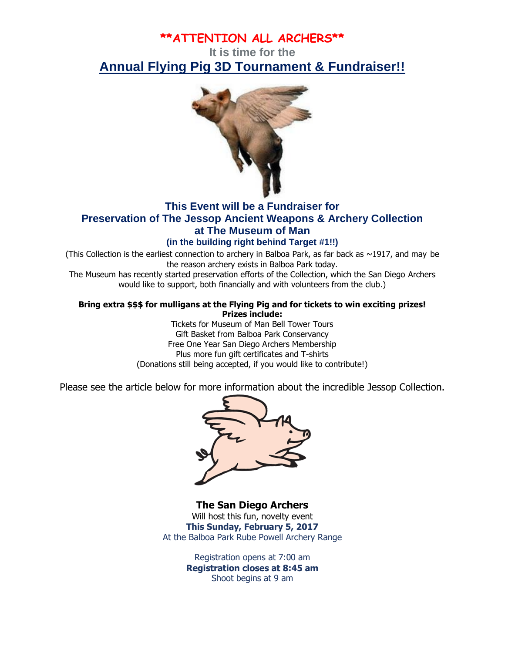# **\*\*ATTENTION ALL ARCHERS\*\***

# **It is time for the** *Annual Flying Pig 3D Tournament & Fundraiser!!*



# **This Event will be a Fundraiser for Preservation of The Jessop Ancient Weapons & Archery Collection at The Museum of Man**

### **(in the building right behind Target #1!!)**

(This Collection is the earliest connection to archery in Balboa Park, as far back as  $\sim$ 1917, and may be the reason archery exists in Balboa Park today.

The Museum has recently started preservation efforts of the Collection, which the San Diego Archers would like to support, both financially and with volunteers from the club.)

#### **Bring extra \$\$\$ for mulligans at the Flying Pig and for tickets to win exciting prizes! Prizes include:**

Tickets for Museum of Man Bell Tower Tours Gift Basket from Balboa Park Conservancy Free One Year San Diego Archers Membership Plus more fun gift certificates and T-shirts (Donations still being accepted, if you would like to contribute!)

Please see the article below for more information about the incredible Jessop Collection.



**The San Diego Archers** Will host this fun, novelty event **This Sunday, February 5, 2017** At the Balboa Park Rube Powell Archery Range

> Registration opens at 7:00 am **Registration closes at 8:45 am** Shoot begins at 9 am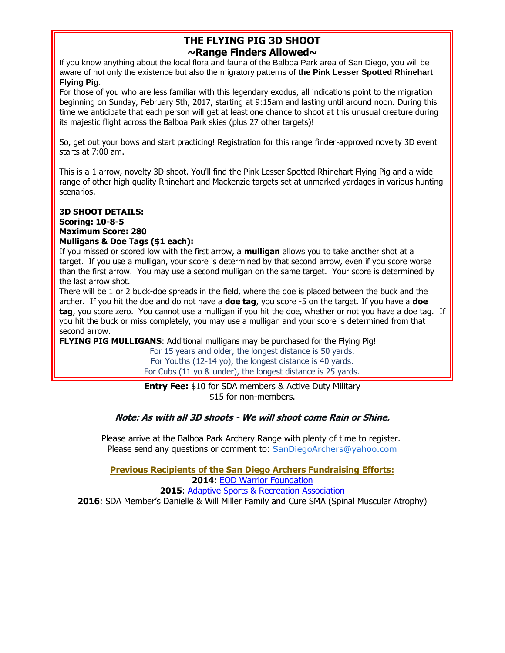### **THE FLYING PIG 3D SHOOT ~Range Finders Allowed~**

**If you know anything about the local flora and fauna of the Balboa Park area of San Diego, you will be aware of not only the existence but also the migratory patterns of the Pink Lesser Spotted Rhinehart Flying Pig.**

For those of you who are less familiar with this legendary exodus, all indications point to the migration beginning on Sunday, February 5th, 2017, starting at 9:15am and lasting until around noon. During this time we anticipate that each person will get at least one chance to shoot at this unusual creature during its majestic flight across the Balboa Park skies (plus 27 other targets)!

So, get out your bows and start practicing! Registration for this range finder-approved novelty 3D event starts at 7:00 am.

This is a 1 arrow, novelty 3D shoot. You'll find the Pink Lesser Spotted Rhinehart Flying Pig and a wide range of other high quality Rhinehart and Mackenzie targets set at unmarked yardages in various hunting scenarios.

#### **3D SHOOT DETAILS: Scoring: 10-8-5 Maximum Score: 280 Mulligans & Doe Tags (\$1 each):**

If you missed or scored low with the first arrow, a **mulligan** allows you to take another shot at a target. If you use a mulligan, your score is determined by that second arrow, even if you score worse than the first arrow. You may use a second mulligan on the same target. Your score is determined by the last arrow shot.

There will be 1 or 2 buck-doe spreads in the field, where the doe is placed between the buck and the archer. If you hit the doe and do not have a **doe tag**, you score -5 on the target. If you have a **doe tag**, you score zero. You cannot use a mulligan if you hit the doe, whether or not you have a doe tag. If you hit the buck or miss completely, you may use a mulligan and your score is determined from that second arrow.

**FLYING PIG MULLIGANS:** Additional mulligans may be purchased for the Flying Pig!

For 15 years and older, the longest distance is 50 yards. For Youths (12-14 yo), the longest distance is 40 yards. For Cubs (11 yo & under), the longest distance is 25 yards.

**Entry Fee:** \$10 for SDA members & Active Duty Military \$15 for non-members.

#### **Note: As with all 3D shoots - We will shoot come Rain or Shine.**

Please arrive at the Balboa Park Archery Range with plenty of time to register. Please send any questions or comment to: [SanDiegoArchers@yahoo.com](mailto:SanDiegoArchers@yahoo.com)

**Previous Recipients of the San Diego Archers Fundraising Efforts: 2014**: [EOD Warrior Foundation](http://www.eodwarriorfoundation.org/) **2015**: [Adaptive Sports & Recreation Association](http://www.adaptivesportsandrec.org/)

**2016**: SDA Member's Danielle & Will Miller Family and Cure SMA (Spinal Muscular Atrophy)